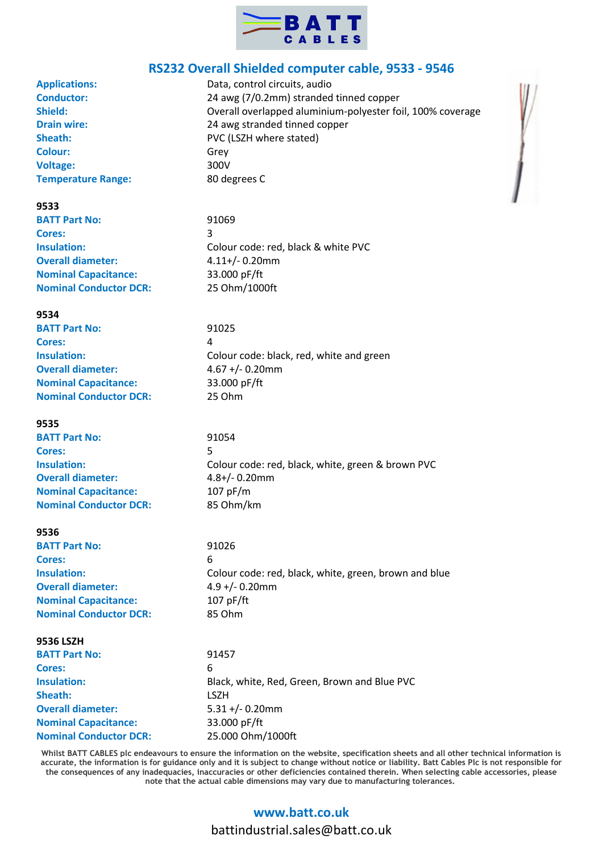

## **RS232 Overall Shielded computer cable, 9533 - 9546**

| <b>Applications:</b>          | Data, control circuits, audio                              |  |
|-------------------------------|------------------------------------------------------------|--|
| <b>Conductor:</b>             | 24 awg (7/0.2mm) stranded tinned copper                    |  |
| Shield:                       | Overall overlapped aluminium-polyester foil, 100% coverage |  |
| <b>Drain wire:</b>            | 24 awg stranded tinned copper                              |  |
| Sheath:                       | PVC (LSZH where stated)                                    |  |
| Colour:                       | Grey                                                       |  |
| <b>Voltage:</b>               | 300V                                                       |  |
| <b>Temperature Range:</b>     | 80 degrees C                                               |  |
| 9533                          |                                                            |  |
| <b>BATT Part No:</b>          | 91069                                                      |  |
| Cores:                        | 3                                                          |  |
| <b>Insulation:</b>            | Colour code: red, black & white PVC                        |  |
| <b>Overall diameter:</b>      | $4.11+/- 0.20$ mm                                          |  |
| <b>Nominal Capacitance:</b>   | 33.000 pF/ft                                               |  |
| <b>Nominal Conductor DCR:</b> | 25 Ohm/1000ft                                              |  |
| 9534                          |                                                            |  |
| <b>BATT Part No:</b>          | 91025                                                      |  |
| <b>Cores:</b>                 | 4                                                          |  |
| <b>Insulation:</b>            | Colour code: black, red, white and green                   |  |
| <b>Overall diameter:</b>      | $4.67 + (-0.20$ mm                                         |  |
| <b>Nominal Capacitance:</b>   | 33.000 pF/ft                                               |  |
| <b>Nominal Conductor DCR:</b> | 25 Ohm                                                     |  |
| 9535                          |                                                            |  |
| <b>BATT Part No:</b>          | 91054                                                      |  |
| <b>Cores:</b>                 | 5                                                          |  |
| <b>Insulation:</b>            | Colour code: red, black, white, green & brown PVC          |  |
| <b>Overall diameter:</b>      | $4.8 + / - 0.20$ mm                                        |  |
| <b>Nominal Capacitance:</b>   | 107 pF/m                                                   |  |
| <b>Nominal Conductor DCR:</b> | 85 Ohm/km                                                  |  |
| 9536                          |                                                            |  |
| <b>BATT Part No:</b>          | 91026                                                      |  |
| <b>Cores:</b>                 | 6                                                          |  |
| <b>Insulation:</b>            | Colour code: red, black, white, green, brown and blue      |  |
| <b>Overall diameter:</b>      | $4.9 + (-0.20$ mm                                          |  |
| <b>Nominal Capacitance:</b>   | 107 pF/ft                                                  |  |
| <b>Nominal Conductor DCR:</b> | 85 Ohm                                                     |  |
| 9536 LSZH                     |                                                            |  |
| <b>BATT Part No:</b>          | 91457                                                      |  |
| <b>Cores:</b>                 | 6                                                          |  |
| <b>Insulation:</b>            | Black, white, Red, Green, Brown and Blue PVC               |  |
| Sheath:                       | <b>LSZH</b>                                                |  |
| <b>Overall diameter:</b>      | $5.31 + (-0.20$ mm                                         |  |
| <b>Nominal Capacitance:</b>   | 33.000 pF/ft                                               |  |
| <b>Nominal Conductor DCR:</b> | 25.000 Ohm/1000ft                                          |  |

**Whilst BATT CABLES plc endeavours to ensure the information on the website, specification sheets and all other technical information is accurate, the information is for guidance only and it is subject to change without notice or liability. Batt Cables Plc is not responsible for the consequences of any inadequacies, inaccuracies or other deficiencies contained therein. When selecting cable accessories, please note that the actual cable dimensions may vary due to manufacturing tolerances.**